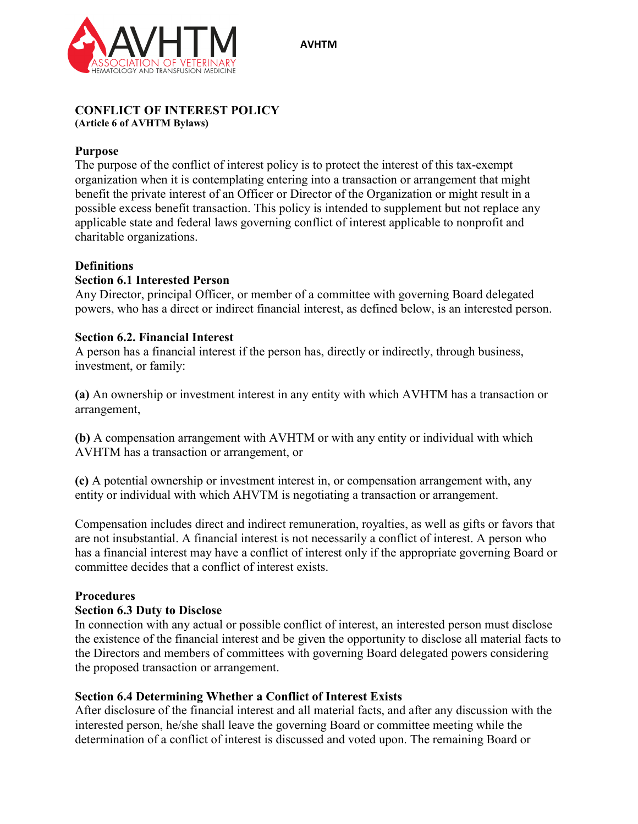



#### **CONFLICT OF INTEREST POLICY (Article 6 of AVHTM Bylaws)**

# **Purpose**

The purpose of the conflict of interest policy is to protect the interest of this tax-exempt organization when it is contemplating entering into a transaction or arrangement that might benefit the private interest of an Officer or Director of the Organization or might result in a possible excess benefit transaction. This policy is intended to supplement but not replace any applicable state and federal laws governing conflict of interest applicable to nonprofit and charitable organizations.

# **Definitions**

# **Section 6.1 Interested Person**

Any Director, principal Officer, or member of a committee with governing Board delegated powers, who has a direct or indirect financial interest, as defined below, is an interested person.

# **Section 6.2. Financial Interest**

A person has a financial interest if the person has, directly or indirectly, through business, investment, or family:

**(a)** An ownership or investment interest in any entity with which AVHTM has a transaction or arrangement,

**(b)** A compensation arrangement with AVHTM or with any entity or individual with which AVHTM has a transaction or arrangement, or

**(c)** A potential ownership or investment interest in, or compensation arrangement with, any entity or individual with which AHVTM is negotiating a transaction or arrangement.

Compensation includes direct and indirect remuneration, royalties, as well as gifts or favors that are not insubstantial. A financial interest is not necessarily a conflict of interest. A person who has a financial interest may have a conflict of interest only if the appropriate governing Board or committee decides that a conflict of interest exists.

### **Procedures**

### **Section 6.3 Duty to Disclose**

In connection with any actual or possible conflict of interest, an interested person must disclose the existence of the financial interest and be given the opportunity to disclose all material facts to the Directors and members of committees with governing Board delegated powers considering the proposed transaction or arrangement.

### **Section 6.4 Determining Whether a Conflict of Interest Exists**

After disclosure of the financial interest and all material facts, and after any discussion with the interested person, he/she shall leave the governing Board or committee meeting while the determination of a conflict of interest is discussed and voted upon. The remaining Board or